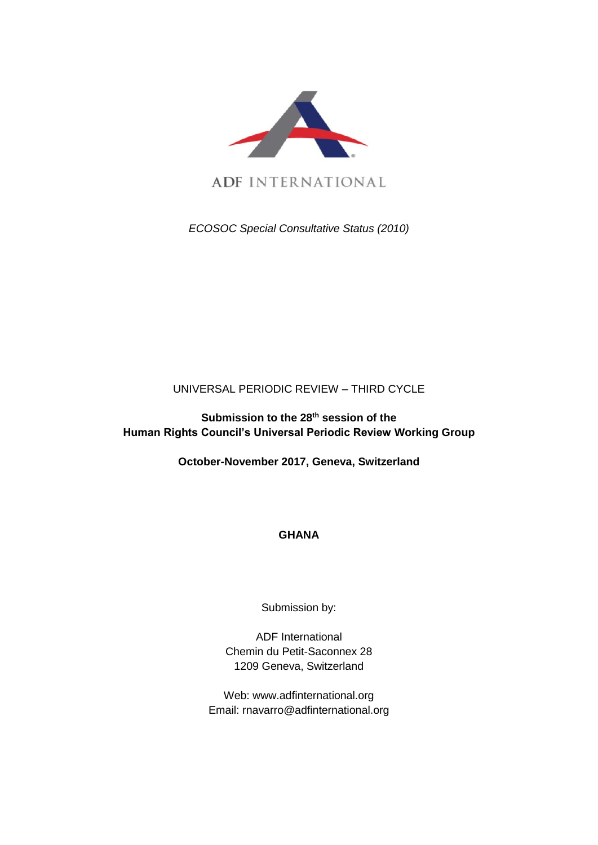

ADF INTERNATIONAL

*ECOSOC Special Consultative Status (2010)*

## UNIVERSAL PERIODIC REVIEW – THIRD CYCLE

**Submission to the 28th session of the Human Rights Council's Universal Periodic Review Working Group**

**October-November 2017, Geneva, Switzerland**

# **GHANA**

Submission by:

ADF International Chemin du Petit-Saconnex 28 1209 Geneva, Switzerland

Web: www.adfinternational.org Email: rnavarro@adfinternational.org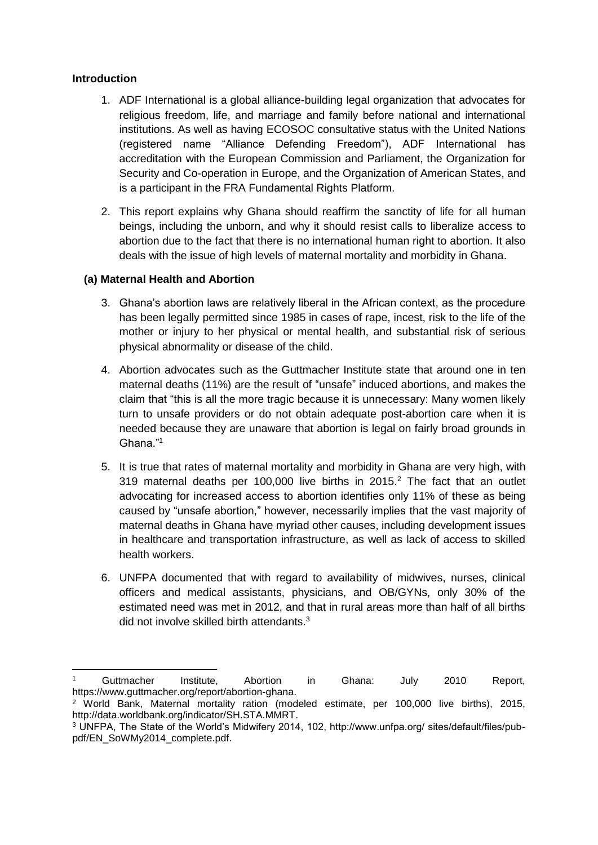### **Introduction**

-

- 1. ADF International is a global alliance-building legal organization that advocates for religious freedom, life, and marriage and family before national and international institutions. As well as having ECOSOC consultative status with the United Nations (registered name "Alliance Defending Freedom"), ADF International has accreditation with the European Commission and Parliament, the Organization for Security and Co-operation in Europe, and the Organization of American States, and is a participant in the FRA Fundamental Rights Platform.
- 2. This report explains why Ghana should reaffirm the sanctity of life for all human beings, including the unborn, and why it should resist calls to liberalize access to abortion due to the fact that there is no international human right to abortion. It also deals with the issue of high levels of maternal mortality and morbidity in Ghana.

### **(a) Maternal Health and Abortion**

- 3. Ghana's abortion laws are relatively liberal in the African context, as the procedure has been legally permitted since 1985 in cases of rape, incest, risk to the life of the mother or injury to her physical or mental health, and substantial risk of serious physical abnormality or disease of the child.
- 4. Abortion advocates such as the Guttmacher Institute state that around one in ten maternal deaths (11%) are the result of "unsafe" induced abortions, and makes the claim that "this is all the more tragic because it is unnecessary: Many women likely turn to unsafe providers or do not obtain adequate post-abortion care when it is needed because they are unaware that abortion is legal on fairly broad grounds in Ghana."<sup>1</sup>
- 5. It is true that rates of maternal mortality and morbidity in Ghana are very high, with 319 maternal deaths per 100,000 live births in 2015.<sup>2</sup> The fact that an outlet advocating for increased access to abortion identifies only 11% of these as being caused by "unsafe abortion," however, necessarily implies that the vast majority of maternal deaths in Ghana have myriad other causes, including development issues in healthcare and transportation infrastructure, as well as lack of access to skilled health workers.
- 6. UNFPA documented that with regard to availability of midwives, nurses, clinical officers and medical assistants, physicians, and OB/GYNs, only 30% of the estimated need was met in 2012, and that in rural areas more than half of all births did not involve skilled birth attendants.<sup>3</sup>

<sup>1</sup> Guttmacher Institute, Abortion in Ghana: July 2010 Report, https://www.guttmacher.org/report/abortion-ghana.

<sup>2</sup> World Bank, Maternal mortality ration (modeled estimate, per 100,000 live births), 2015, http://data.worldbank.org/indicator/SH.STA.MMRT.

<sup>3</sup> UNFPA, The State of the World's Midwifery 2014, 102, http://www.unfpa.org/ sites/default/files/pubpdf/EN\_SoWMy2014\_complete.pdf.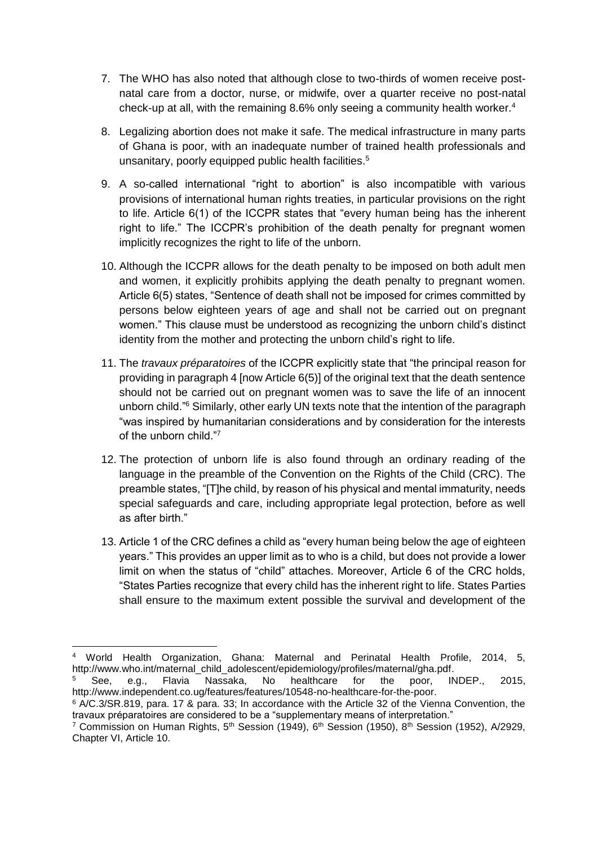- 7. The WHO has also noted that although close to two-thirds of women receive postnatal care from a doctor, nurse, or midwife, over a quarter receive no post-natal check-up at all, with the remaining 8.6% only seeing a community health worker.<sup>4</sup>
- 8. Legalizing abortion does not make it safe. The medical infrastructure in many parts of Ghana is poor, with an inadequate number of trained health professionals and unsanitary, poorly equipped public health facilities.<sup>5</sup>
- 9. A so-called international "right to abortion" is also incompatible with various provisions of international human rights treaties, in particular provisions on the right to life. Article 6(1) of the ICCPR states that "every human being has the inherent right to life." The ICCPR's prohibition of the death penalty for pregnant women implicitly recognizes the right to life of the unborn.
- 10. Although the ICCPR allows for the death penalty to be imposed on both adult men and women, it explicitly prohibits applying the death penalty to pregnant women. Article 6(5) states, "Sentence of death shall not be imposed for crimes committed by persons below eighteen years of age and shall not be carried out on pregnant women." This clause must be understood as recognizing the unborn child's distinct identity from the mother and protecting the unborn child's right to life.
- 11. The *travaux préparatoires* of the ICCPR explicitly state that "the principal reason for providing in paragraph 4 [now Article 6(5)] of the original text that the death sentence should not be carried out on pregnant women was to save the life of an innocent unborn child."<sup>6</sup> Similarly, other early UN texts note that the intention of the paragraph "was inspired by humanitarian considerations and by consideration for the interests of the unborn child."<sup>7</sup>
- 12. The protection of unborn life is also found through an ordinary reading of the language in the preamble of the Convention on the Rights of the Child (CRC). The preamble states, "[T]he child, by reason of his physical and mental immaturity, needs special safeguards and care, including appropriate legal protection, before as well as after birth."
- 13. Article 1 of the CRC defines a child as "every human being below the age of eighteen years." This provides an upper limit as to who is a child, but does not provide a lower limit on when the status of "child" attaches. Moreover, Article 6 of the CRC holds, "States Parties recognize that every child has the inherent right to life. States Parties shall ensure to the maximum extent possible the survival and development of the

<sup>-</sup><sup>4</sup> World Health Organization, Ghana: Maternal and Perinatal Health Profile, 2014, 5, http://www.who.int/maternal\_child\_adolescent/epidemiology/profiles/maternal/gha.pdf.

See, e.g., Flavia Nassaka, No healthcare for the poor, INDEP., 2015, http://www.independent.co.ug/features/features/10548-no-healthcare-for-the-poor.

<sup>6</sup> A/C.3/SR.819, para. 17 & para. 33; In accordance with the Article 32 of the Vienna Convention, the travaux préparatoires are considered to be a "supplementary means of interpretation."

<sup>&</sup>lt;sup>7</sup> Commission on Human Rights, 5<sup>th</sup> Session (1949), 6<sup>th</sup> Session (1950), 8<sup>th</sup> Session (1952), A/2929, Chapter VI, Article 10.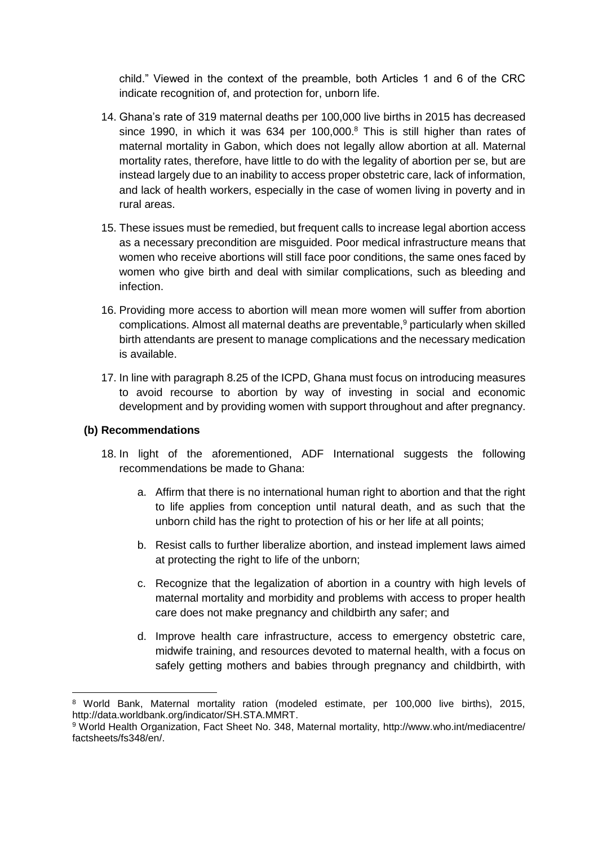child." Viewed in the context of the preamble, both Articles 1 and 6 of the CRC indicate recognition of, and protection for, unborn life.

- 14. Ghana's rate of 319 maternal deaths per 100,000 live births in 2015 has decreased since 1990, in which it was 634 per 100,000. $8$  This is still higher than rates of maternal mortality in Gabon, which does not legally allow abortion at all. Maternal mortality rates, therefore, have little to do with the legality of abortion per se, but are instead largely due to an inability to access proper obstetric care, lack of information, and lack of health workers, especially in the case of women living in poverty and in rural areas.
- 15. These issues must be remedied, but frequent calls to increase legal abortion access as a necessary precondition are misguided. Poor medical infrastructure means that women who receive abortions will still face poor conditions, the same ones faced by women who give birth and deal with similar complications, such as bleeding and infection.
- 16. Providing more access to abortion will mean more women will suffer from abortion complications. Almost all maternal deaths are preventable,<sup>9</sup> particularly when skilled birth attendants are present to manage complications and the necessary medication is available.
- 17. In line with paragraph 8.25 of the ICPD, Ghana must focus on introducing measures to avoid recourse to abortion by way of investing in social and economic development and by providing women with support throughout and after pregnancy.

#### **(b) Recommendations**

-

- 18. In light of the aforementioned, ADF International suggests the following recommendations be made to Ghana:
	- a. Affirm that there is no international human right to abortion and that the right to life applies from conception until natural death, and as such that the unborn child has the right to protection of his or her life at all points;
	- b. Resist calls to further liberalize abortion, and instead implement laws aimed at protecting the right to life of the unborn;
	- c. Recognize that the legalization of abortion in a country with high levels of maternal mortality and morbidity and problems with access to proper health care does not make pregnancy and childbirth any safer; and
	- d. Improve health care infrastructure, access to emergency obstetric care, midwife training, and resources devoted to maternal health, with a focus on safely getting mothers and babies through pregnancy and childbirth, with

<sup>8</sup> World Bank, Maternal mortality ration (modeled estimate, per 100,000 live births), 2015, http://data.worldbank.org/indicator/SH.STA.MMRT.

<sup>9</sup> World Health Organization, Fact Sheet No. 348, Maternal mortality, http://www.who.int/mediacentre/ factsheets/fs348/en/.